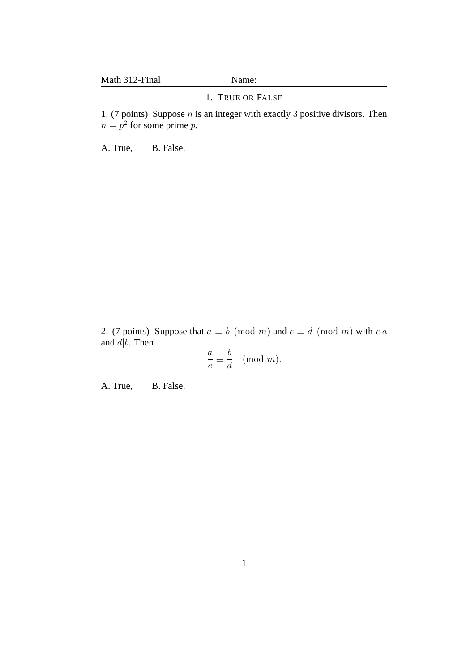## 1. TRUE OR FALSE

1. (7 points) Suppose  $n$  is an integer with exactly 3 positive divisors. Then  $n = p^2$  for some prime p.

A. True, B. False.

2. (7 points) Suppose that  $a \equiv b \pmod{m}$  and  $c \equiv d \pmod{m}$  with  $c|a$ and  $d\dot{b}$ . Then

$$
\frac{a}{c} \equiv \frac{b}{d} \pmod{m}.
$$

A. True, B. False.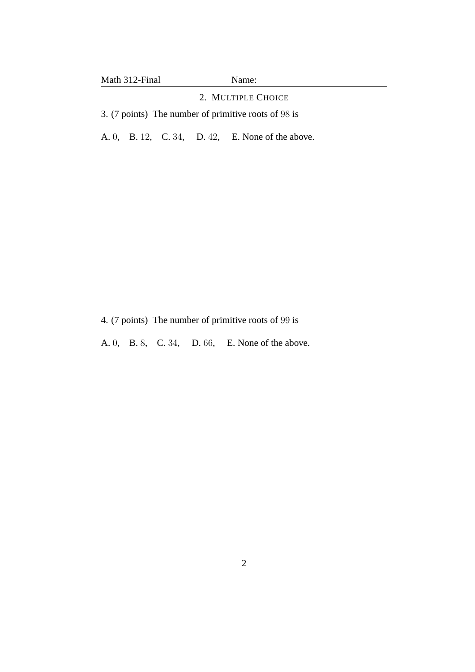## 2. MULTIPLE CHOICE

3. (7 points) The number of primitive roots of 98 is

A. 0, B. 12, C. 34, D. 42, E. None of the above.

- 4. (7 points) The number of primitive roots of 99 is
- A. 0, B. 8, C. 34, D. 66, E. None of the above.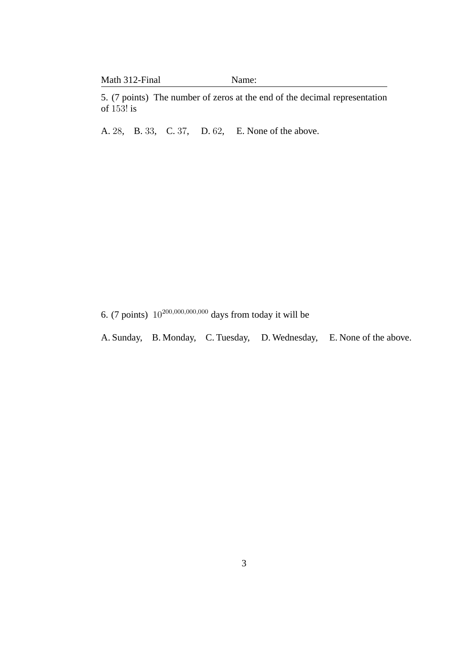|  | Math 312-Final |  |
|--|----------------|--|
|--|----------------|--|

Name:

5. (7 points) The number of zeros at the end of the decimal representation of 153! is

A. 28, B. 33, C. 37, D. 62, E. None of the above.

6. (7 points)  $10^{200,000,000,000}$  days from today it will be

A. Sunday, B. Monday, C. Tuesday, D. Wednesday, E. None of the above.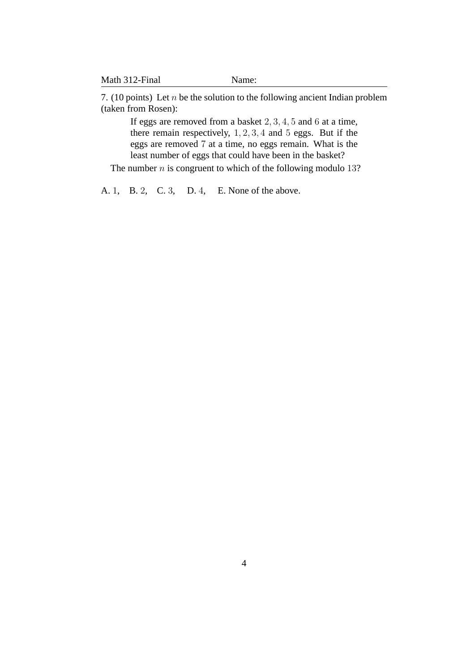| Math 312-Final | Name: |
|----------------|-------|
|----------------|-------|

7. (10 points) Let  $n$  be the solution to the following ancient Indian problem (taken from Rosen):

If eggs are removed from a basket 2, 3, 4, 5 and 6 at a time, there remain respectively, 1, 2, 3, 4 and 5 eggs. But if the eggs are removed 7 at a time, no eggs remain. What is the least number of eggs that could have been in the basket?

The number  $n$  is congruent to which of the following modulo 13?

A. 1, B. 2, C. 3, D. 4, E. None of the above.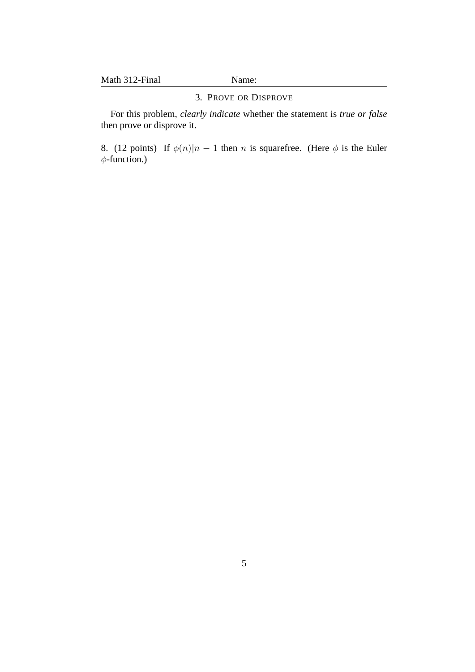#### 3. PROVE OR DISPROVE

For this problem, *clearly indicate* whether the statement is *true or false* then prove or disprove it.

8. (12 points) If  $\phi(n)|n-1$  then n is squarefree. (Here  $\phi$  is the Euler φ-function.)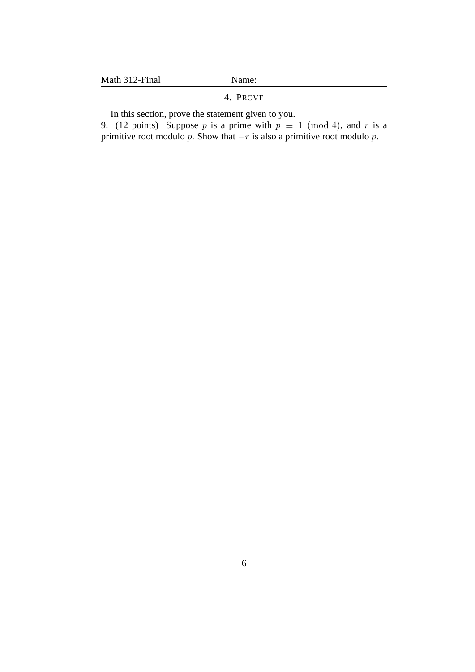#### 4. PROVE

In this section, prove the statement given to you.

9. (12 points) Suppose p is a prime with  $p \equiv 1 \pmod{4}$ , and r is a primitive root modulo p. Show that  $-r$  is also a primitive root modulo p.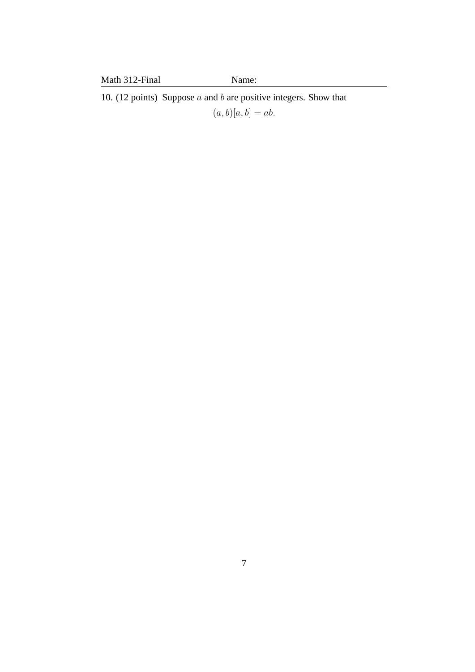10. (12 points) Suppose  $a$  and  $b$  are positive integers. Show that  $(a, b)[a, b] = ab.$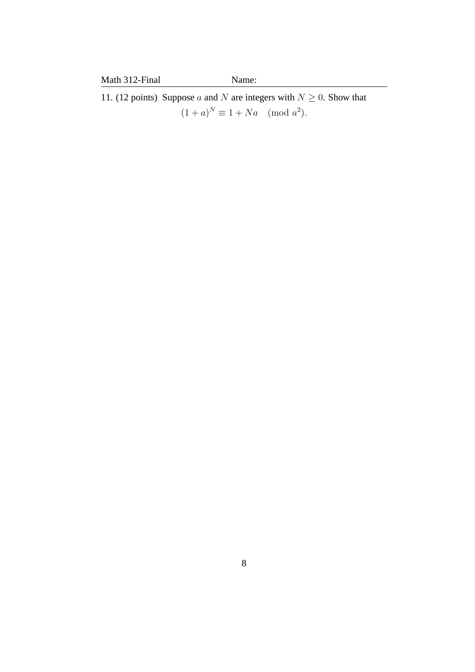11. (12 points) Suppose a and N are integers with  $N \geq 0$ . Show that  $(1 + a)^N \equiv 1 + Na \pmod{a^2}.$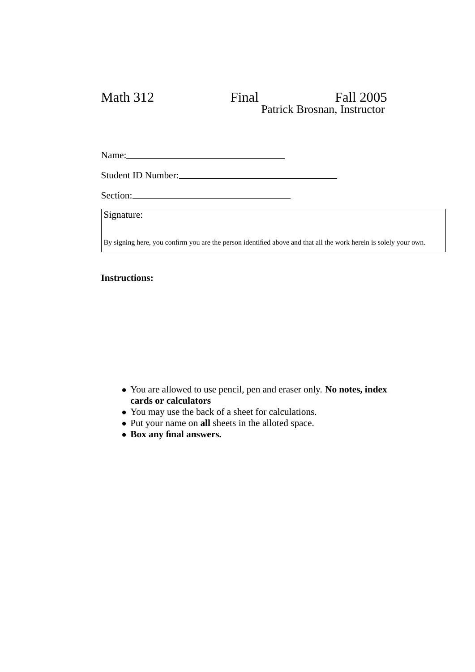# Math 312 Final Fall 2005 Patrick Brosnan, Instructor

Name:

Student ID Number:

Section:

Signature:

By signing here, you confirm you are the person identified above and that all the work herein is solely your own.

### **Instructions:**

- You are allowed to use pencil, pen and eraser only. **No notes, index cards or calculators**
- You may use the back of a sheet for calculations.
- Put your name on **all** sheets in the alloted space.
- **Box any final answers.**